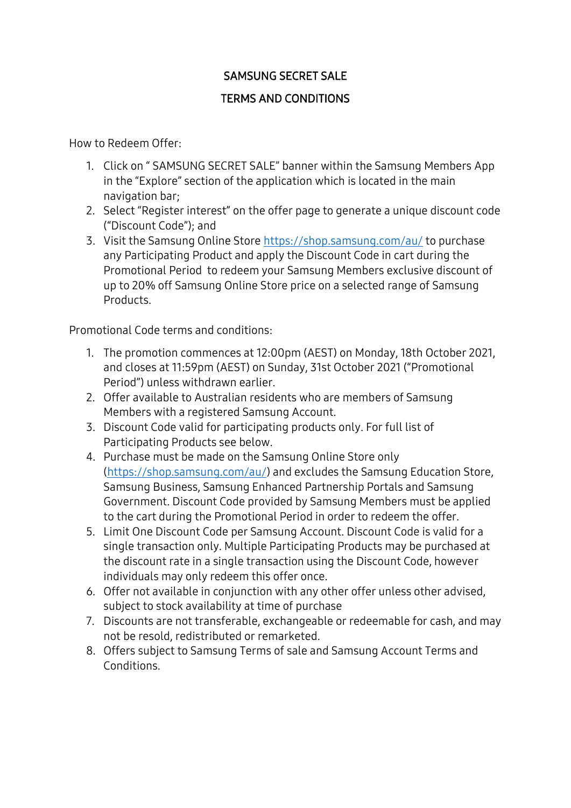## SAMSUNG SECRET SALE

## TERMS AND CONDITIONS

How to Redeem Offer:

- 1. Click on " SAMSUNG SECRET SALE" banner within the Samsung Members App in the "Explore" section of the application which is located in the main navigation bar;
- 2. Select "Register interest" on the offer page to generate a unique discount code ("Discount Code"); and
- 3. Visit the Samsung Online Store<https://shop.samsung.com/au/> to purchase any Participating Product and apply the Discount Code in cart during the Promotional Period to redeem your Samsung Members exclusive discount of up to 20% off Samsung Online Store price on a selected range of Samsung **Products**

Promotional Code terms and conditions:

- 1. The promotion commences at 12:00pm (AEST) on Monday, 18th October 2021, and closes at 11:59pm (AEST) on Sunday, 31st October 2021 ("Promotional Period") unless withdrawn earlier.
- 2. Offer available to Australian residents who are members of Samsung Members with a registered Samsung Account.
- 3. Discount Code valid for participating products only. For full list of Participating Products see below.
- 4. Purchase must be made on the Samsung Online Store only [\(https://shop.samsung.com/au/\)](https://shop.samsung.com/au/) and excludes the Samsung Education Store, Samsung Business, Samsung Enhanced Partnership Portals and Samsung Government. Discount Code provided by Samsung Members must be applied to the cart during the Promotional Period in order to redeem the offer.
- 5. Limit One Discount Code per Samsung Account. Discount Code is valid for a single transaction only. Multiple Participating Products may be purchased at the discount rate in a single transaction using the Discount Code, however individuals may only redeem this offer once.
- 6. Offer not available in conjunction with any other offer unless other advised, subject to stock availability at time of purchase
- 7. Discounts are not transferable, exchangeable or redeemable for cash, and may not be resold, redistributed or remarketed.
- 8. Offers subject to Samsung Terms of sale and Samsung Account Terms and Conditions.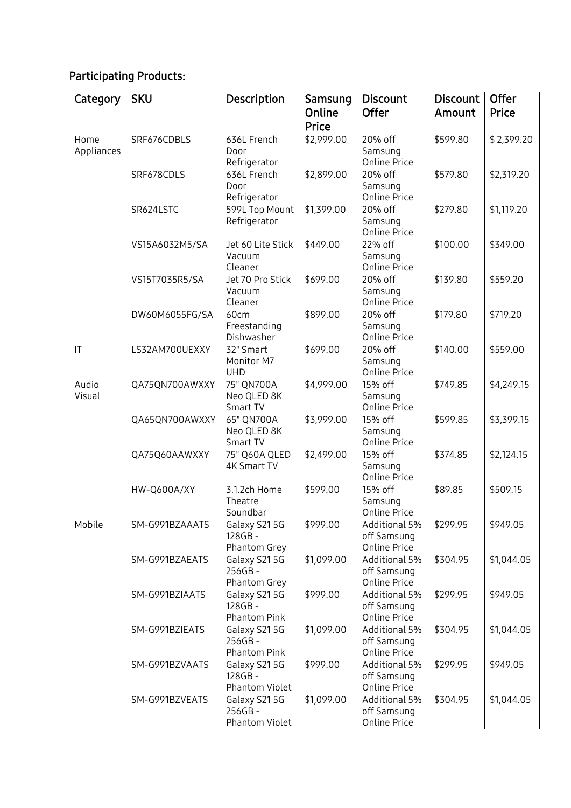## Participating Products:

| Category               | <b>SKU</b>         | Description                              | Samsung<br>Online<br>Price | <b>Discount</b><br>Offer                            | Discount<br>Amount | Offer<br>Price |
|------------------------|--------------------|------------------------------------------|----------------------------|-----------------------------------------------------|--------------------|----------------|
| Home<br>Appliances     | SRF676CDBLS        | 636L French<br>Door<br>Refrigerator      | \$2,999.00                 | 20% off<br>Samsung<br>Online Price                  | \$599.80           | \$2,399.20     |
|                        | SRF678CDLS         | 636L French<br>Door<br>Refrigerator      | \$2,899.00                 | 20% off<br>Samsung<br><b>Online Price</b>           | \$579.80           | \$2,319.20     |
|                        | SR624LSTC          | 599L Top Mount<br>Refrigerator           | \$1,399.00                 | 20% off<br>Samsung<br><b>Online Price</b>           | \$279.80           | \$1,119.20     |
|                        | VS15A6032M5/SA     | Jet 60 Lite Stick<br>Vacuum<br>Cleaner   | \$449.00                   | 22% off<br>Samsung<br><b>Online Price</b>           | \$100.00           | \$349.00       |
|                        | VS15T7035R5/SA     | Jet 70 Pro Stick<br>Vacuum<br>Cleaner    | \$699.00                   | 20% off<br>Samsung<br>Online Price                  | \$139.80           | \$559.20       |
|                        | DW60M6055FG/SA     | 60cm<br>Freestanding<br>Dishwasher       | \$899.00                   | 20% off<br>Samsung<br>Online Price                  | \$179.80           | \$719.20       |
| $\mathsf{I}\mathsf{T}$ | LS32AM700UEXXY     | 32" Smart<br>Monitor M7<br><b>UHD</b>    | \$699.00                   | 20% off<br>Samsung<br>Online Price                  | \$140.00           | \$559.00       |
| Audio<br>Visual        | QA75QN700AWXXY     | 75" QN700A<br>Neo QLED 8K<br>Smart TV    | \$4,999.00                 | 15% off<br>Samsung<br><b>Online Price</b>           | \$749.85           | \$4,249.15     |
|                        | QA65QN700AWXXY     | 65" QN700A<br>Neo QLED 8K<br>Smart TV    | \$3,999.00                 | 15% off<br>Samsung<br>Online Price                  | \$599.85           | \$3,399.15     |
|                        | QA75Q60AAWXXY      | 75" Q60A QLED<br>4K Smart TV             | \$2,499.00                 | 15% off<br>Samsung<br>Online Price                  | \$374.85           | \$2,124.15     |
|                        | <b>HW-Q600A/XY</b> | 3.1.2ch Home<br>Theatre<br>Soundbar      | \$599.00                   | 15% off<br>Samsung<br><b>Online Price</b>           | \$89.85            | \$509.15       |
| Mobile                 | SM-G991BZAAATS     | Galaxy S215G<br>128GB-<br>Phantom Grey   | \$999.00                   | Additional 5%<br>off Samsung<br>Online Price        | \$299.95           | \$949.05       |
|                        | SM-G991BZAEATS     | Galaxy S215G<br>256GB-<br>Phantom Grey   | \$1,099.00                 | Additional 5%<br>off Samsung<br><b>Online Price</b> | \$304.95           | \$1,044.05     |
|                        | SM-G991BZIAATS     | Galaxy S215G<br>128GB-<br>Phantom Pink   | \$999.00                   | Additional 5%<br>off Samsung<br><b>Online Price</b> | \$299.95           | \$949.05       |
|                        | SM-G991BZIEATS     | Galaxy S215G<br>256GB-<br>Phantom Pink   | \$1,099.00                 | Additional 5%<br>off Samsung<br>Online Price        | \$304.95           | \$1,044.05     |
|                        | SM-G991BZVAATS     | Galaxy S215G<br>128GB-<br>Phantom Violet | \$999.00                   | Additional 5%<br>off Samsung<br>Online Price        | \$299.95           | \$949.05       |
|                        | SM-G991BZVEATS     | Galaxy S215G<br>256GB-<br>Phantom Violet | \$1,099.00                 | Additional 5%<br>off Samsung<br><b>Online Price</b> | \$304.95           | \$1,044.05     |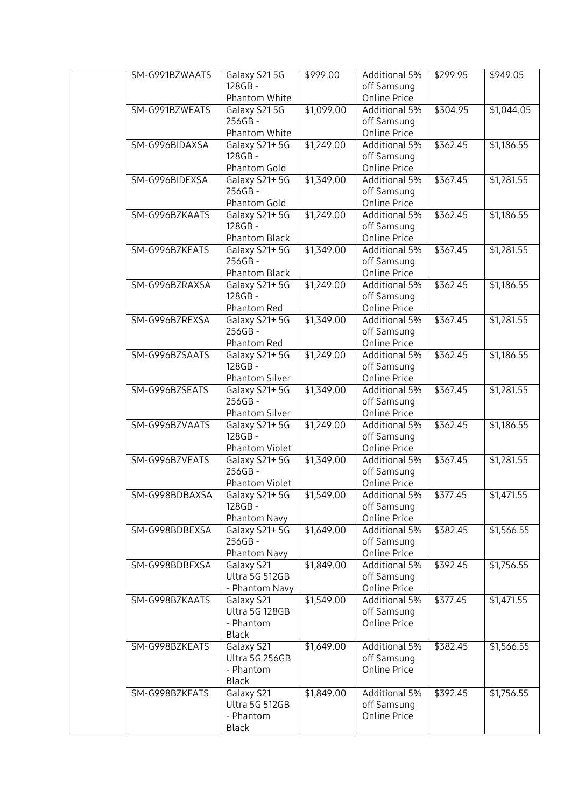| SM-G991BZWAATS | Galaxy S215G               | \$999.00   | Additional 5%        | \$299.95 | \$949.05   |
|----------------|----------------------------|------------|----------------------|----------|------------|
|                | 128GB-                     |            | off Samsung          |          |            |
|                | Phantom White              |            | <b>Online Price</b>  |          |            |
| SM-G991BZWEATS | Galaxy S215G               | \$1,099.00 | Additional 5%        | \$304.95 | \$1,044.05 |
|                | 256GB-                     |            | off Samsung          |          |            |
|                | Phantom White              |            | Online Price         |          |            |
| SM-G996BIDAXSA | Galaxy S21+5G              | \$1,249.00 | <b>Additional 5%</b> | \$362.45 | \$1,186.55 |
|                | 128GB-                     |            | off Samsung          |          |            |
|                | Phantom Gold               |            | Online Price         |          |            |
| SM-G996BIDEXSA | Galaxy S21+5G              | \$1,349.00 | Additional 5%        | \$367.45 | \$1,281.55 |
|                | 256GB-                     |            | off Samsung          |          |            |
|                | Phantom Gold               |            | Online Price         |          |            |
| SM-G996BZKAATS | Galaxy S21+5G              | \$1,249.00 | <b>Additional 5%</b> | \$362.45 | \$1,186.55 |
|                | 128GB-                     |            | off Samsung          |          |            |
|                | Phantom Black              |            | <b>Online Price</b>  |          |            |
| SM-G996BZKEATS | Galaxy S21+5G              | \$1,349.00 | <b>Additional 5%</b> | \$367.45 | \$1,281.55 |
|                | 256GB-                     |            | off Samsung          |          |            |
|                | Phantom Black              |            | <b>Online Price</b>  |          |            |
| SM-G996BZRAXSA | Galaxy S21+5G              | \$1,249.00 | <b>Additional 5%</b> | \$362.45 | \$1,186.55 |
|                | 128GB-                     |            | off Samsung          |          |            |
|                | Phantom Red                |            | Online Price         |          |            |
| SM-G996BZREXSA | Galaxy S21+5G              | \$1,349.00 | Additional 5%        | \$367.45 | \$1,281.55 |
|                | 256GB-                     |            | off Samsung          |          |            |
|                | Phantom Red                |            | Online Price         |          |            |
| SM-G996BZSAATS | Galaxy S21+5G              | \$1,249.00 | <b>Additional 5%</b> | \$362.45 | \$1,186.55 |
|                | 128GB-                     |            | off Samsung          |          |            |
|                | Phantom Silver             |            | Online Price         |          |            |
| SM-G996BZSEATS | Galaxy S21+5G              | \$1,349.00 | <b>Additional 5%</b> | \$367.45 | \$1,281.55 |
|                | 256GB-                     |            | off Samsung          |          |            |
|                | Phantom Silver             |            | <b>Online Price</b>  |          |            |
| SM-G996BZVAATS | Galaxy S21+5G              | \$1,249.00 | <b>Additional 5%</b> | \$362.45 | \$1,186.55 |
|                | 128GB-                     |            | off Samsung          |          |            |
|                | Phantom Violet             |            | Online Price         |          |            |
| SM-G996BZVEATS | Galaxy S21+5G              | \$1,349.00 | <b>Additional 5%</b> | \$367.45 | \$1,281.55 |
|                | 256GB-                     |            | off Samsung          |          |            |
|                | Phantom Violet             |            | <b>Online Price</b>  |          |            |
| SM-G998BDBAXSA | Galaxy S21+5G              | \$1,549.00 | Additional 5%        | \$377.45 | \$1,471.55 |
|                | 128GB-                     |            | off Samsung          |          |            |
|                | Phantom Navy               |            | Online Price         |          |            |
| SM-G998BDBEXSA | Galaxy S21+5G              | \$1,649.00 | Additional 5%        | \$382.45 | \$1,566.55 |
|                | 256GB-                     |            | off Samsung          |          |            |
|                | Phantom Navy               |            | <b>Online Price</b>  |          |            |
| SM-G998BDBFXSA | Galaxy S21                 | \$1,849.00 | Additional 5%        | \$392.45 | \$1,756.55 |
|                | Ultra 5G 512GB             |            | off Samsung          |          |            |
|                | - Phantom Navy             |            | Online Price         |          |            |
| SM-G998BZKAATS | Galaxy S21                 | \$1,549.00 | Additional 5%        | \$377.45 | \$1,471.55 |
|                | Ultra 5G 128GB             |            | off Samsung          |          |            |
|                | - Phantom                  |            | <b>Online Price</b>  |          |            |
| SM-G998BZKEATS | <b>Black</b><br>Galaxy S21 | \$1,649.00 | Additional 5%        | \$382.45 | \$1,566.55 |
|                | Ultra 5G 256GB             |            | off Samsung          |          |            |
|                | - Phantom                  |            | <b>Online Price</b>  |          |            |
|                | <b>Black</b>               |            |                      |          |            |
| SM-G998BZKFATS | Galaxy S21                 | \$1,849.00 | Additional 5%        | \$392.45 | \$1,756.55 |
|                | Ultra 5G 512GB             |            | off Samsung          |          |            |
|                | - Phantom                  |            | <b>Online Price</b>  |          |            |
|                | <b>Black</b>               |            |                      |          |            |
|                |                            |            |                      |          |            |